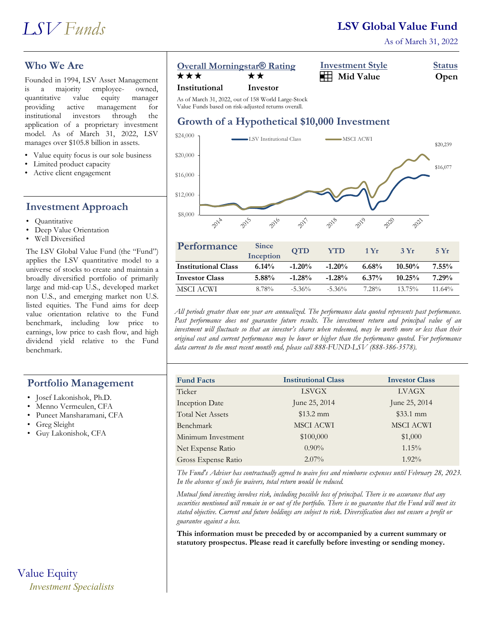As of March 31, 2022

# **Who We Are**

Founded in 1994, LSV Asset Management is a majority employee- owned, quantitative value equity manager providing active management for institutional investors through the application of a proprietary investment model. As of March 31, 2022, LSV manages over \$105.8 billion in assets.

- Value equity focus is our sole business
- Limited product capacity
- Active client engagement

# **Investment Approach**

- Quantitative
- Deep Value Orientation
- Well Diversified

The LSV Global Value Fund (the "Fund") applies the LSV quantitative model to a universe of stocks to create and maintain a broadly diversified portfolio of primarily large and mid-cap U.S., developed market non U.S., and emerging market non U.S. listed equities. The Fund aims for deep value orientation relative to the Fund benchmark, including low price to earnings, low price to cash flow, and high dividend yield relative to the Fund benchmark.

# **Portfolio Management**

- Josef Lakonishok, Ph.D.
- Menno Vermeulen, CFA
- Puneet Mansharamani, CFA
- Greg Sleight
- Guy Lakonishok, CFA

# Value Equity

*Investment Specialists*

## **Overall Morningstar® Rating Investment Style Status**

| <b>OVCIAN MONIMIZSIARE RATTIZ</b><br>THE COMMUNICATE<br><u>U</u> uuu |      |
|----------------------------------------------------------------------|------|
| $\mathbf{H}$ Mid Value<br>★★★<br>**                                  | Open |

#### **Institutional Investor**

As of March 31, 2022, out of 158 World Large-Stock Value Funds based on risk-adjusted returns overall.

# **Growth of a Hypothetical \$10,000 Investment**



| Performance                | <b>Since</b><br>Inception | <b>OTD</b> | <b>YTD</b> | 1 Yr     | 3Yr       | 5Yr       |
|----------------------------|---------------------------|------------|------------|----------|-----------|-----------|
| <b>Institutional Class</b> | $6.14\%$                  | $-1.20%$   | $-1.20%$   | $6.68\%$ | $10.50\%$ | $7.55\%$  |
| <b>Investor Class</b>      | $5.88\%$                  | $-1.28%$   | $-1.28%$   | $6.37\%$ | $10.25\%$ | 7.29%     |
| MSCI ACWI                  | 8.78%                     | $-5.36\%$  | $-5.36\%$  | $7.28\%$ | $13.75\%$ | $11.64\%$ |

*All periods greater than one year are annualized. The performance data quoted represents past performance. Past performance does not guarantee future results. The investment return and principal value of an investment will fluctuate so that an investor's shares when redeemed, may be worth more or less than their original cost and current performance may be lower or higher than the performance quoted. For performance data current to the most recent month end, please call 888-FUND-LSV (888-386-3578).*

| <b>Fund Facts</b>       | <b>Institutional Class</b> | <b>Investor Class</b> |
|-------------------------|----------------------------|-----------------------|
| Ticker                  | <b>LSVGX</b>               | LVAGX                 |
| <b>Inception Date</b>   | June 25, 2014              | June 25, 2014         |
| <b>Total Net Assets</b> | $$13.2 \text{ mm}$         | $$33.1$ mm            |
| Benchmark               | <b>MSCI ACWI</b>           | <b>MSCI ACWI</b>      |
| Minimum Investment      | \$100,000                  | \$1,000               |
| Net Expense Ratio       | $0.90\%$                   | 1.15%                 |
| Gross Expense Ratio     | $2.07\%$                   | $1.92\%$              |

*The Fund's Adviser has contractually agreed to waive fees and reimburse expenses until February 28, 2023. In the absence of such fee waivers, total return would be reduced.*

*Mutual fund investing involves risk, including possible loss of principal. There is no assurance that any securities mentioned will remain in or out of the portfolio. There is no guarantee that the Fund will meet its stated objective. Current and future holdings are subject to risk. Diversification does not ensure a profit or guarantee against a loss.*

**This information must be preceded by or accompanied by a current summary or statutory prospectus. Please read it carefully before investing or sending money.**